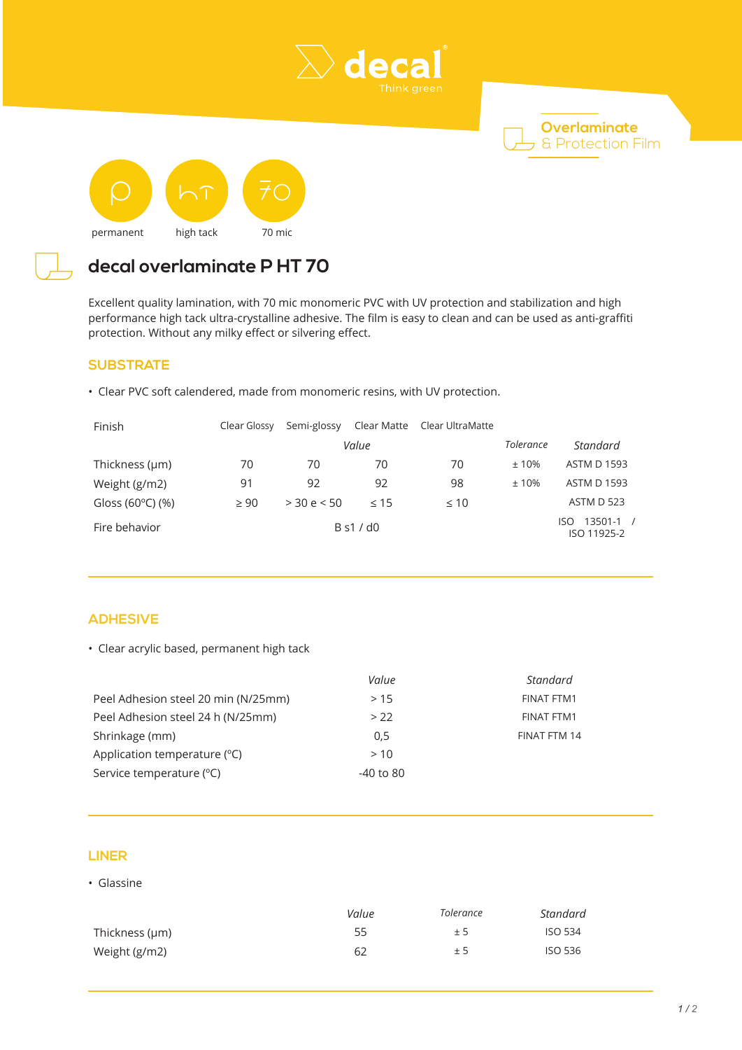





# **decal overlaminate P HT 70**

Excellent quality lamination, with 70 mic monomeric PVC with UV protection and stabilization and high performance high tack ultra-crystalline adhesive. The film is easy to clean and can be used as anti-graffiti protection. Without any milky effect or silvering effect.

### **SUBSTRATE**

• Clear PVC soft calendered, made from monomeric resins, with UV protection.

| Finish                      | Clear Glossy | Semi-glossy   | Clear Matte | Clear UltraMatte |           |                                     |
|-----------------------------|--------------|---------------|-------------|------------------|-----------|-------------------------------------|
|                             |              | Value         |             |                  | Tolerance | Standard                            |
| Thickness (µm)              | 70           | 70            | 70          | 70               | ±10%      | <b>ASTM D 1593</b>                  |
| Weight (g/m2)               | 91           | 92            | 92          | 98               | ±10%      | <b>ASTM D 1593</b>                  |
| Gloss (60 $^{\circ}$ C) (%) | $\geq 90$    | $>$ 30 e < 50 | < 15        | $\leq 10$        |           | ASTM D 523                          |
| Fire behavior               | B s1 / d0    |               |             |                  |           | $13501 - 1$ /<br>ISO<br>ISO 11925-2 |

## **ADHESIVE**

• Clear acrylic based, permanent high tack

|                                       | Value       | Standard          |
|---------------------------------------|-------------|-------------------|
| Peel Adhesion steel 20 min (N/25mm)   | >15         | <b>FINAT FTM1</b> |
| Peel Adhesion steel 24 h (N/25mm)     | > 22        | FINAT FTM1        |
| Shrinkage (mm)                        | 0,5         | FINAT FTM 14      |
| Application temperature $(^{\circ}C)$ | >10         |                   |
| Service temperature (°C)              | $-40$ to 80 |                   |

### **LINER**

• Glassine

|                | Value | Tolerance | Standard       |
|----------------|-------|-----------|----------------|
| Thickness (µm) | 55    | ±5        | ISO 534        |
| Weight (g/m2)  | 62    | ± 5       | <b>ISO 536</b> |